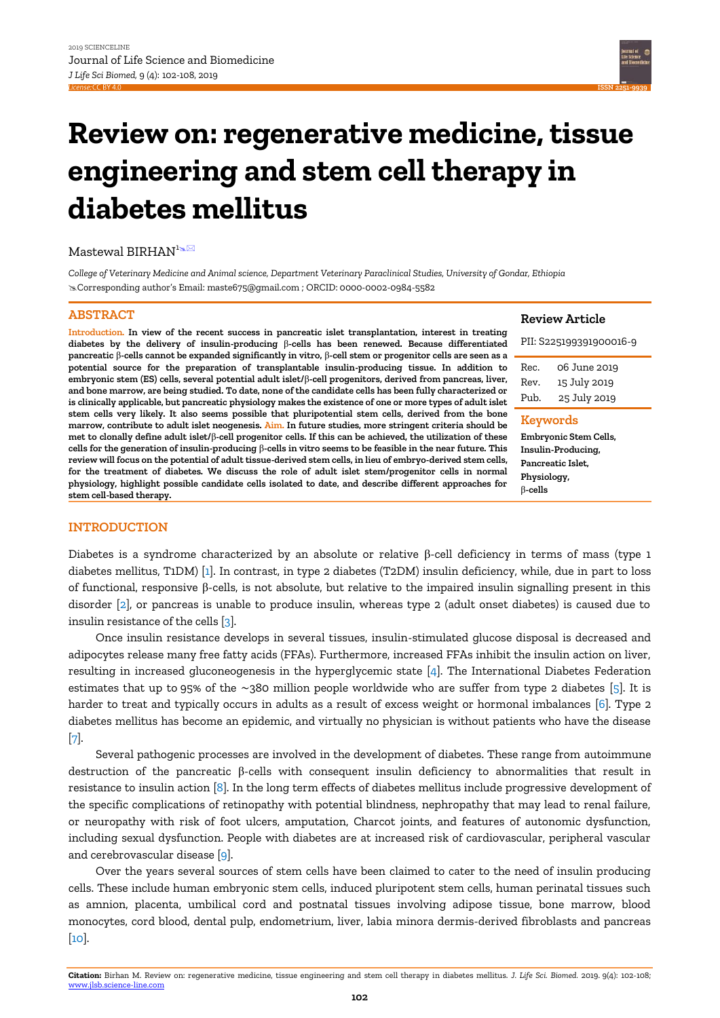**ISSN 2[251-9939](https://jlsb.science-line.com/)**

# **Review on: regenerative medicine, tissue engineering and stem cell therapy in diabetes mellitus**

# Mastewal BIRHAN<sup>1</sup><sup>3</sup>

*College of Veterinary Medicine and Animal science, Department Veterinary Paraclinical Studies, University of Gondar, Ethiopia* Corresponding author's Email: maste675@gmail.com ; ORCID: 0000-0002-0984-5582

# **ABSTRACT**

**Introduction. In view of the recent success in pancreatic islet transplantation, interest in treating diabetes by the delivery of insulin-producing** β**-cells has been renewed. Because differentiated pancreatic** β**-cells cannot be expanded significantly in vitro,** β**-cell stem or progenitor cells are seen as a potential source for the preparation of transplantable insulin-producing tissue. In addition to embryonic stem (ES) cells, several potential adult islet/**β**-cell progenitors, derived from pancreas, liver, and bone marrow, are being studied. To date, none of the candidate cells has been fully characterized or is clinically applicable, but pancreatic physiology makes the existence of one or more types of adult islet stem cells very likely. It also seems possible that pluripotential stem cells, derived from the bone marrow, contribute to adult islet neogenesis. Aim. In future studies, more stringent criteria should be met to clonally define adult islet/**β**-cell progenitor cells. If this can be achieved, the utilization of these cells for the generation of insulin-producing** β**-cells in vitro seems to be feasible in the near future. This review will focus on the potential of adult tissue-derived stem cells, in lieu of embryo-derived stem cells, for the treatment of diabetes. We discuss the role of adult islet stem/progenitor cells in normal physiology, highlight possible candidate cells isolated to date, and describe different approaches for stem cell-based therapy.**

#### **Review Article**

| <b>Keywords</b>         |              |
|-------------------------|--------------|
| Pub.                    | 25 July 2019 |
| Rev.                    | 15 July 2019 |
| Rec.                    | 06 June 2019 |
| PII: S225199391900016-9 |              |

**Embryonic Stem Cells, Insulin-Producing, Pancreatic Islet, Physiology,** β**-cells**

# **INTRODUCTION**

Diabetes is a syndrome characterized by an absolute or relative β-cell deficiency in terms of mass (type 1 diabetes mellitus, T1DM) [\[1\]](#page-4-0). In contrast, in type 2 diabetes (T2DM) insulin deficiency, while, due in part to loss of functional, responsive β-cells, is not absolute, but relative to the impaired insulin signalling present in this disorder [\[2\]](#page-4-1), or pancreas is unable to produce insulin, whereas type 2 (adult onset diabetes) is caused due to insulin resistance of the cells [\[3\]](#page-4-2).

Once insulin resistance develops in several tissues, insulin-stimulated glucose disposal is decreased and adipocytes release many free fatty acids (FFAs). Furthermore, increased FFAs inhibit the insulin action on liver, resulting in increased gluconeogenesis in the hyperglycemic state [\[4\]](#page-4-3). The International Diabetes Federation estimates that up to 95% of the ∼380 million people worldwide who are suffer from type 2 diabetes [\[5\]](#page-5-0). It is harder to treat and typically occurs in adults as a result of excess weight or hormonal imbalances [\[6\]](#page-5-1). Type 2 diabetes mellitus has become an epidemic, and virtually no physician is without patients who have the disease [\[7\]](#page-5-2).

Several pathogenic processes are involved in the development of diabetes. These range from autoimmune destruction of the pancreatic β-cells with consequent insulin deficiency to abnormalities that result in resistance to insulin action [\[8\]](#page-5-3). In the long term effects of diabetes mellitus include progressive development of the specific complications of retinopathy with potential blindness, nephropathy that may lead to renal failure, or neuropathy with risk of foot ulcers, amputation, Charcot joints, and features of autonomic dysfunction, including sexual dysfunction. People with diabetes are at increased risk of cardiovascular, peripheral vascular and cerebrovascular disease [\[9\]](#page-5-4).

Over the years several sources of stem cells have been claimed to cater to the need of insulin producing cells. These include human embryonic stem cells, induced pluripotent stem cells, human perinatal tissues such as amnion, placenta, umbilical cord and postnatal tissues involving adipose tissue, bone marrow, blood monocytes, cord blood, dental pulp, endometrium, liver, labia minora dermis-derived fibroblasts and pancreas [\[10\]](#page-5-5).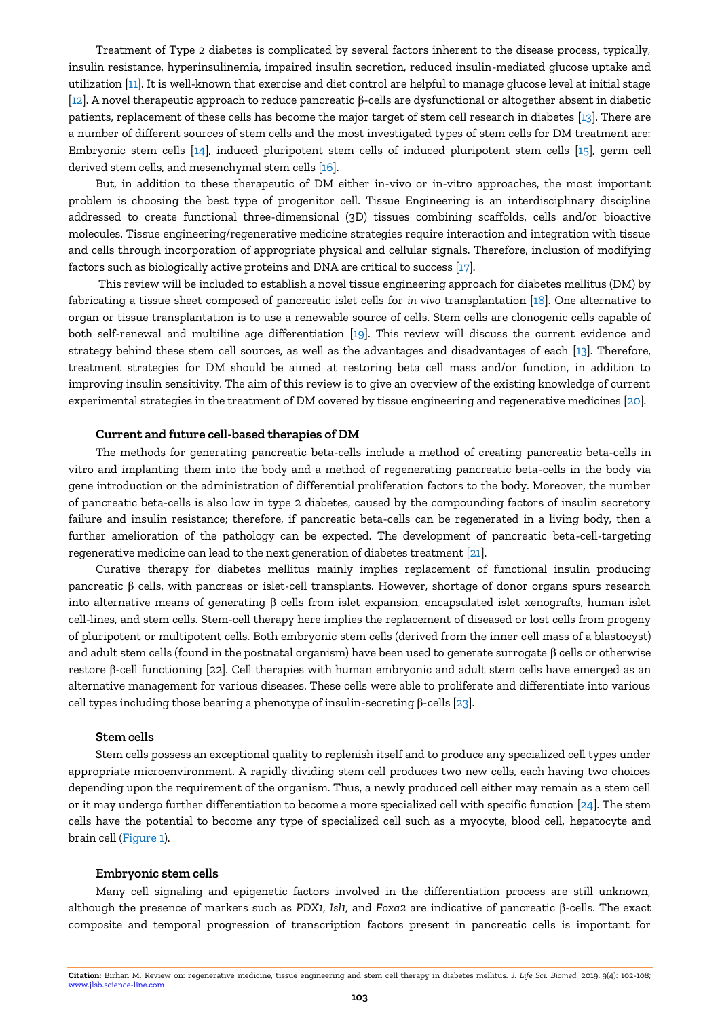Treatment of Type 2 diabetes is complicated by several factors inherent to the disease process, typically, insulin resistance, hyperinsulinemia, impaired insulin secretion, reduced insulin-mediated glucose uptake and utilization [\[11\]](#page-5-6). It is well-known that exercise and diet control are helpful to manage glucose level at initial stage [\[12\]](#page-5-7). A novel therapeutic approach to reduce pancreatic β-cells are dysfunctional or altogether absent in diabetic patients, replacement of these cells has become the major target of stem cell research in diabetes [\[13\]](#page-5-8). There are a number of different sources of stem cells and the most investigated types of stem cells for DM treatment are: Embryonic stem cells [\[14\]](#page-5-9), induced pluripotent stem cells of induced pluripotent stem cells [\[15\]](#page-5-10), germ cell derived stem cells, and mesenchymal stem cells [\[16\]](#page-5-11).

But, in addition to these therapeutic of DM either in-vivo or in-vitro approaches, the most important problem is choosing the best type of progenitor cell. Tissue Engineering is an interdisciplinary discipline addressed to create functional three-dimensional (3D) tissues combining scaffolds, cells and/or bioactive molecules. Tissue engineering/regenerative medicine strategies require interaction and integration with tissue and cells through incorporation of appropriate physical and cellular signals. Therefore, inclusion of modifying factors such as biologically active proteins and DNA are critical to success [\[17\]](#page-5-12).

This review will be included to establish a novel tissue engineering approach for diabetes mellitus (DM) by fabricating a tissue sheet composed of pancreatic islet cells for *in vivo* transplantation [\[18\]](#page-5-13). One alternative to organ or tissue transplantation is to use a renewable source of cells. Stem cells are clonogenic cells capable of both self-renewal and multiline age differentiation [\[19\]](#page-5-14). This review will discuss the current evidence and strategy behind these stem cell sources, as well as the advantages and disadvantages of each [\[13\]](#page-5-8). Therefore, treatment strategies for DM should be aimed at restoring beta cell mass and/or function, in addition to improving insulin sensitivity. The aim of this review is to give an overview of the existing knowledge of current experimental strategies in the treatment of DM covered by tissue engineering and regenerative medicines [\[20\]](#page-5-15).

#### **Current and future cell-based therapies of DM**

The methods for generating pancreatic beta-cells include a method of creating pancreatic beta-cells in vitro and implanting them into the body and a method of regenerating pancreatic beta-cells in the body via gene introduction or the administration of differential proliferation factors to the body. Moreover, the number of pancreatic beta-cells is also low in type 2 diabetes, caused by the compounding factors of insulin secretory failure and insulin resistance; therefore, if pancreatic beta-cells can be regenerated in a living body, then a further amelioration of the pathology can be expected. The development of pancreatic beta-cell-targeting regenerative medicine can lead to the next generation of diabetes treatment [\[21\]](#page-5-16).

Curative therapy for diabetes mellitus mainly implies replacement of functional insulin producing pancreatic β cells, with pancreas or islet-cell transplants. However, shortage of donor organs spurs research into alternative means of generating β cells from islet expansion, encapsulated islet xenografts, human islet cell-lines, and stem cells. Stem-cell therapy here implies the replacement of diseased or lost cells from progeny of pluripotent or multipotent cells. Both embryonic stem cells (derived from the inner cell mass of a blastocyst) and adult stem cells (found in the postnatal organism) have been used to generate surrogate  $\beta$  cells or otherwise restore β-cell functioning [\[22\]](#page-5-17). Cell therapies with human embryonic and adult stem cells have emerged as an alternative management for various diseases. These cells were able to proliferate and differentiate into various cell types including those bearing a phenotype of insulin-secreting β-cells  $[23]$ .

# **Stem cells**

Stem cells possess an exceptional quality to replenish itself and to produce any specialized cell types under appropriate microenvironment. A rapidly dividing stem cell produces two new cells, each having two choices depending upon the requirement of the organism. Thus, a newly produced cell either may remain as a stem cell or it may undergo further differentiation to become a more specialized cell with specific function  $[24]$ . The stem cells have the potential to become any type of specialized cell such as a myocyte, blood cell, hepatocyte and brain cell (Figure 1).

## **Embryonic stem cells**

Many cell signaling and epigenetic factors involved in the differentiation process are still unknown, although the presence of markers such as *PDX1*, *Isl1,* and *Foxa2* are indicative of pancreatic β-cells. The exact composite and temporal progression of transcription factors present in pancreatic cells is important for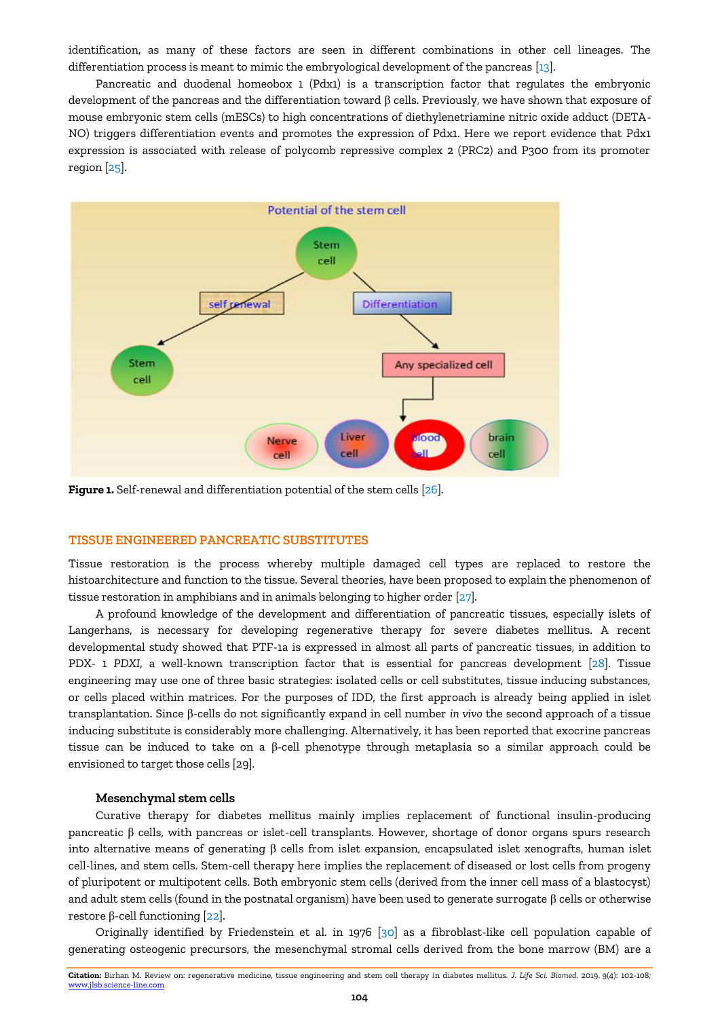identification, as many of these factors are seen in different combinations in other cell lineages. The differentiation process is meant to mimic the embryological development of the pancreas [\[13\]](#page-5-8).

Pancreatic and duodenal homeobox 1 (Pdx1) is a transcription factor that regulates the embryonic development of the pancreas and the differentiation toward β cells. Previously, we have shown that exposure of mouse embryonic stem cells (mESCs) to high concentrations of diethylenetriamine nitric oxide adduct (DETA-NO) triggers differentiation events and promotes the expression of Pdx1. Here we report evidence that Pdx1 expression is associated with release of polycomb repressive complex 2 (PRC2) and P300 from its promoter region [\[25\]](#page-5-20).



**Figure 1.** Self-renewal and differentiation potential of the stem cells [\[26\]](#page-5-21).

# **TISSUE ENGINEERED PANCREATIC SUBSTITUTES**

Tissue restoration is the process whereby multiple damaged cell types are replaced to restore the histoarchitecture and function to the tissue. Several theories, have been proposed to explain the phenomenon of tissue restoration in amphibians and in animals belonging to higher order [\[27\]](#page-5-22).

A profound knowledge of the development and differentiation of pancreatic tissues, especially islets of Langerhans, is necessary for developing regenerative therapy for severe diabetes mellitus. A recent developmental study showed that PTF-1a is expressed in almost all parts of pancreatic tissues, in addition to PDX- 1 *PDXI*, a well-known transcription factor that is essential for pancreas development [\[28\]](#page-5-23). Tissue engineering may use one of three basic strategies: isolated cells or cell substitutes, tissue inducing substances, or cells placed within matrices. For the purposes of IDD, the first approach is already being applied in islet transplantation. Since β-cells do not significantly expand in cell number *in vivo* the second approach of a tissue inducing substitute is considerably more challenging. Alternatively, it has been reported that exocrine pancreas tissue can be induced to take on a β-cell phenotype through metaplasia so a similar approach could be envisioned to target those cells [\[29\]](#page-5-24).

#### **Mesenchymal stem cells**

Curative therapy for diabetes mellitus mainly implies replacement of functional insulin-producing pancreatic β cells, with pancreas or islet-cell transplants. However, shortage of donor organs spurs research into alternative means of generating β cells from islet expansion, encapsulated islet xenografts, human islet cell-lines, and stem cells. Stem-cell therapy here implies the replacement of diseased or lost cells from progeny of pluripotent or multipotent cells. Both embryonic stem cells (derived from the inner cell mass of a blastocyst) and adult stem cells (found in the postnatal organism) have been used to generate surrogate  $\beta$  cells or otherwise restore β-cell functioning [\[22\]](#page-5-17).

Originally identified by Friedenstein et al. in 1976 [\[30\]](#page-5-25) as a fibroblast-like cell population capable of generating osteogenic precursors, the mesenchymal stromal cells derived from the bone marrow (BM) are a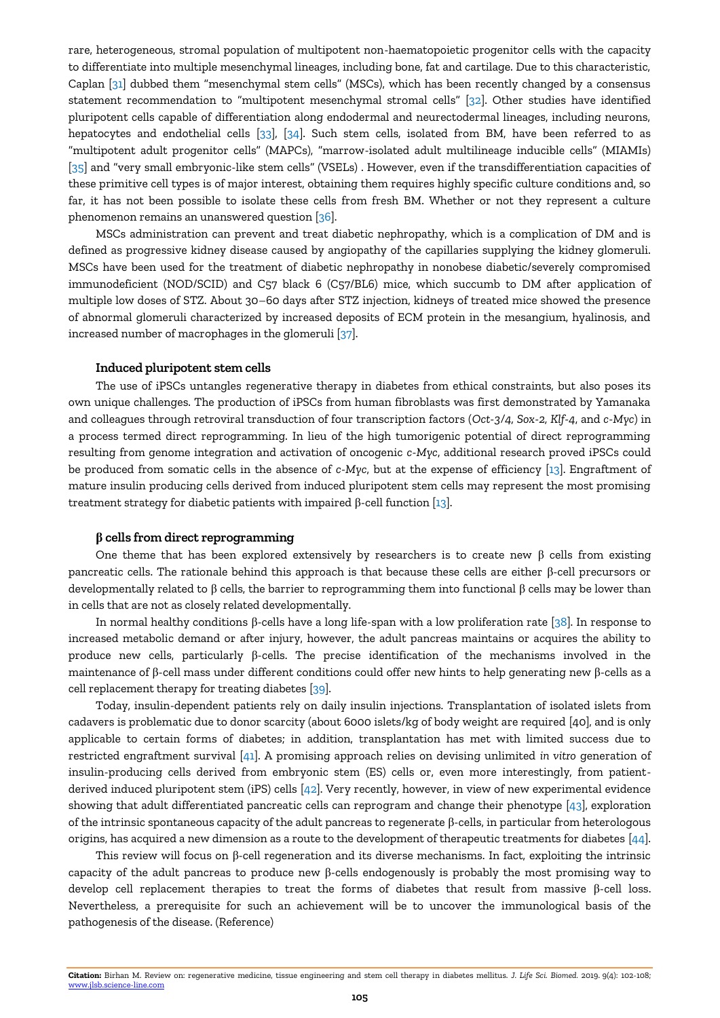rare, heterogeneous, stromal population of multipotent non-haematopoietic progenitor cells with the capacity to differentiate into multiple mesenchymal lineages, including bone, fat and cartilage. Due to this characteristic, Caplan [\[31\]](#page-5-26) dubbed them "mesenchymal stem cells" (MSCs), which has been recently changed by a consensus statement recommendation to "multipotent mesenchymal stromal cells" [\[32\]](#page-5-27). Other studies have identified pluripotent cells capable of differentiation along endodermal and neurectodermal lineages, including neurons, hepatocytes and endothelial cells [\[33\]](#page-5-28), [\[34\]](#page-6-0). Such stem cells, isolated from BM, have been referred to as "multipotent adult progenitor cells" (MAPCs), "marrow-isolated adult multilineage inducible cells" (MIAMIs) [\[35\]](#page-6-1) and "very small embryonic-like stem cells" (VSELs) . However, even if the transdifferentiation capacities of these primitive cell types is of major interest, obtaining them requires highly specific culture conditions and, so far, it has not been possible to isolate these cells from fresh BM. Whether or not they represent a culture phenomenon remains an unanswered question [\[36\]](#page-6-2).

MSCs administration can prevent and treat diabetic nephropathy, which is a complication of DM and is defined as progressive kidney disease caused by angiopathy of the capillaries supplying the kidney glomeruli. MSCs have been used for the treatment of diabetic nephropathy in nonobese diabetic/severely compromised immunodeficient (NOD/SCID) and C57 black 6 (C57/BL6) mice, which succumb to DM after application of multiple low doses of STZ. About 30–60 days after STZ injection, kidneys of treated mice showed the presence of abnormal glomeruli characterized by increased deposits of ECM protein in the mesangium, hyalinosis, and increased number of macrophages in the glomeruli [\[37\]](#page-6-3).

#### **Induced pluripotent stem cells**

The use of iPSCs untangles regenerative therapy in diabetes from ethical constraints, but also poses its own unique challenges. The production of iPSCs from human fibroblasts was first demonstrated by Yamanaka and colleagues through retroviral transduction of four transcription factors (*Oct-3/4, Sox-2, Klf-4*, and *c-Myc*) in a process termed direct reprogramming. In lieu of the high tumorigenic potential of direct reprogramming resulting from genome integration and activation of oncogenic *c-Myc*, additional research proved iPSCs could be produced from somatic cells in the absence of *c-Myc*, but at the expense of efficiency [\[13\]](#page-5-8). Engraftment of mature insulin producing cells derived from induced pluripotent stem cells may represent the most promising treatment strategy for diabetic patients with impaired β-cell function  $[13]$ .

#### **β cells from direct reprogramming**

One theme that has been explored extensively by researchers is to create new β cells from existing pancreatic cells. The rationale behind this approach is that because these cells are either β-cell precursors or developmentally related to β cells, the barrier to reprogramming them into functional β cells may be lower than in cells that are not as closely related developmentally.

In normal healthy conditions β-cells have a long life-span with a low proliferation rate [\[38\]](#page-6-4). In response to increased metabolic demand or after injury, however, the adult pancreas maintains or acquires the ability to produce new cells, particularly β-cells. The precise identification of the mechanisms involved in the maintenance of β-cell mass under different conditions could offer new hints to help generating new β-cells as a cell replacement therapy for treating diabetes [\[39\]](#page-6-5).

Today, insulin-dependent patients rely on daily insulin injections. Transplantation of isolated islets from cadavers is problematic due to donor scarcity (about 6000 islets/kg of body weight are required [\[40\]](#page-6-6), and is only applicable to certain forms of diabetes; in addition, transplantation has met with limited success due to restricted engraftment survival [\[41\]](#page-6-7). A promising approach relies on devising unlimited *in vitro* generation of insulin-producing cells derived from embryonic stem (ES) cells or, even more interestingly, from patientderived induced pluripotent stem (iPS) cells [\[42\]](#page-6-8). Very recently, however, in view of new experimental evidence showing that adult differentiated pancreatic cells can reprogram and change their phenotype [\[43\]](#page-6-9), exploration of the intrinsic spontaneous capacity of the adult pancreas to regenerate β-cells, in particular from heterologous origins, has acquired a new dimension as a route to the development of therapeutic treatments for diabetes [\[44\]](#page-6-10).

This review will focus on β-cell regeneration and its diverse mechanisms. In fact, exploiting the intrinsic capacity of the adult pancreas to produce new β-cells endogenously is probably the most promising way to develop cell replacement therapies to treat the forms of diabetes that result from massive β-cell loss. Nevertheless, a prerequisite for such an achievement will be to uncover the immunological basis of the pathogenesis of the disease. (Reference)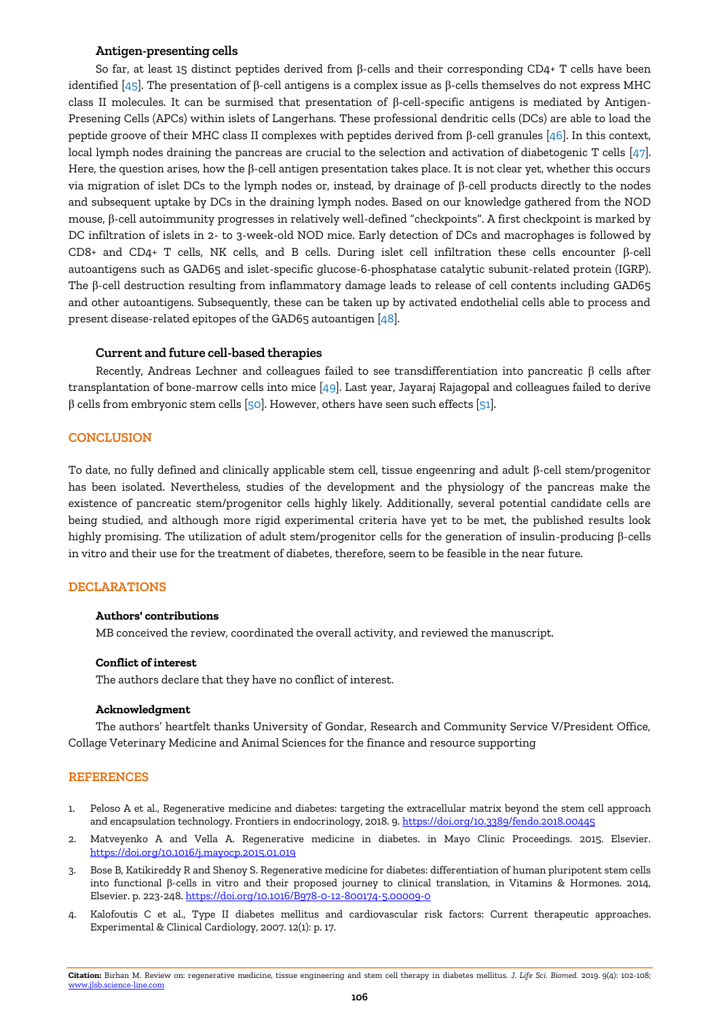# **Antigen-presenting cells**

So far, at least 15 distinct peptides derived from β-cells and their corresponding CD4+ T cells have been identified [\[45\]](#page-6-11). The presentation of β-cell antigens is a complex issue as β-cells themselves do not express MHC class II molecules. It can be surmised that presentation of β-cell-specific antigens is mediated by Antigen-Presening Cells (APCs) within islets of Langerhans. These professional dendritic cells (DCs) are able to load the peptide groove of their MHC class II complexes with peptides derived from β-cell granules [\[46\]](#page-6-12). In this context, local lymph nodes draining the pancreas are crucial to the selection and activation of diabetogenic T cells [\[47\]](#page-6-13). Here, the question arises, how the  $\beta$ -cell antigen presentation takes place. It is not clear yet, whether this occurs via migration of islet DCs to the lymph nodes or, instead, by drainage of β-cell products directly to the nodes and subsequent uptake by DCs in the draining lymph nodes. Based on our knowledge gathered from the NOD mouse, β-cell autoimmunity progresses in relatively well-defined "checkpoints". A first checkpoint is marked by DC infiltration of islets in 2- to 3-week-old NOD mice. Early detection of DCs and macrophages is followed by CD8+ and CD4+ T cells, NK cells, and B cells. During islet cell infiltration these cells encounter β-cell autoantigens such as GAD65 and islet-specific glucose-6-phosphatase catalytic subunit-related protein (IGRP). The β-cell destruction resulting from inflammatory damage leads to release of cell contents including GAD65 and other autoantigens. Subsequently, these can be taken up by activated endothelial cells able to process and present disease-related epitopes of the GAD65 autoantigen [\[48\]](#page-6-14).

# **Current and future cell-based therapies**

Recently, Andreas Lechner and colleagues failed to see transdifferentiation into pancreatic β cells after transplantation of bone-marrow cells into mice [\[49\]](#page-6-15). Last year, Jayaraj Rajagopal and colleagues failed to derive  $β$  cells from embryonic stem cells [\[50\]](#page-6-16). However, others have seen such effects [\[51\]](#page-6-17).

# **CONCLUSION**

To date, no fully defined and clinically applicable stem cell, tissue engeenring and adult β-cell stem/progenitor has been isolated. Nevertheless, studies of the development and the physiology of the pancreas make the existence of pancreatic stem/progenitor cells highly likely. Additionally, several potential candidate cells are being studied, and although more rigid experimental criteria have yet to be met, the published results look highly promising. The utilization of adult stem/progenitor cells for the generation of insulin-producing β-cells in vitro and their use for the treatment of diabetes, therefore, seem to be feasible in the near future.

# **DECLARATIONS**

# **Authors' contributions**

MB conceived the review, coordinated the overall activity, and reviewed the manuscript.

## **Conflict of interest**

The authors declare that they have no conflict of interest.

#### **Acknowledgment**

The authors' heartfelt thanks University of Gondar, Research and Community Service V/President Office, Collage Veterinary Medicine and Animal Sciences for the finance and resource supporting

## **REFERENCES**

- <span id="page-4-0"></span>1. Peloso A et al., Regenerative medicine and diabetes: targeting the extracellular matrix beyond the stem cell approach and encapsulation technology. Frontiers in endocrinology, 2018. 9. <https://doi.org/10.3389/fendo.2018.00445>
- <span id="page-4-1"></span>2. Matveyenko A and Vella A. Regenerative medicine in diabetes. in Mayo Clinic Proceedings. 2015. Elsevier. <https://doi.org/10.1016/j.mayocp.2015.01.019>
- <span id="page-4-2"></span>3. Bose B, Katikireddy R and Shenoy S. Regenerative medicine for diabetes: differentiation of human pluripotent stem cells into functional β-cells in vitro and their proposed journey to clinical translation, in Vitamins & Hormones. 2014, Elsevier. p. 223-248. <https://doi.org/10.1016/B978-0-12-800174-5.00009-0>
- <span id="page-4-3"></span>4. Kalofoutis C et al., Type II diabetes mellitus and cardiovascular risk factors: Current therapeutic approaches. Experimental & Clinical Cardiology, 2007. 12(1): p. 17.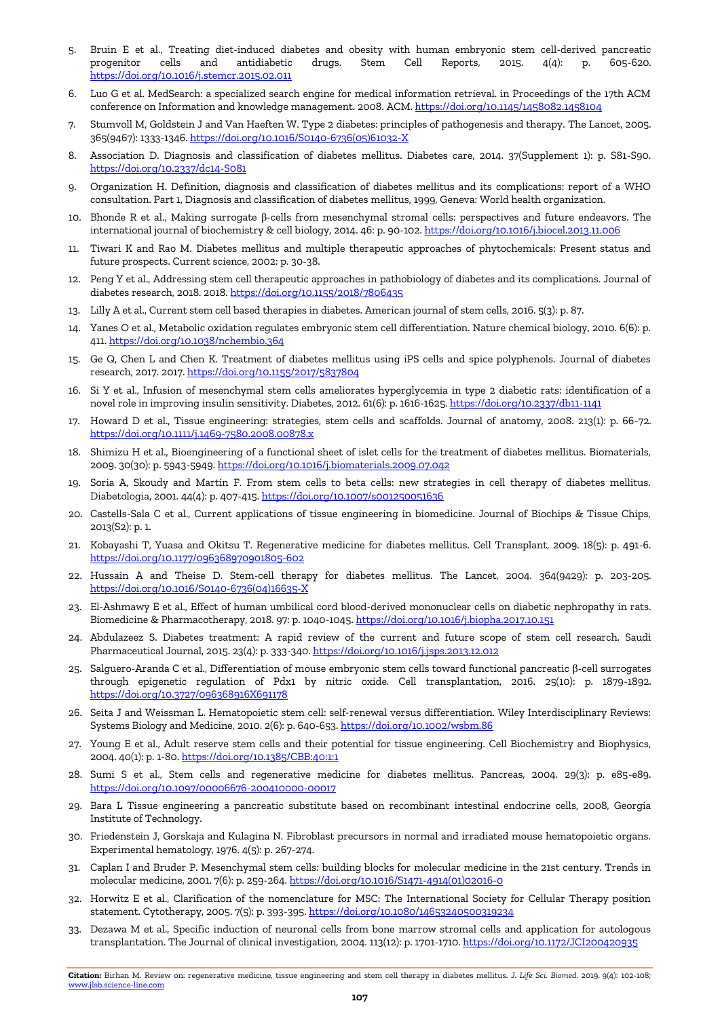- <span id="page-5-0"></span>5. Bruin E et al., Treating diet-induced diabetes and obesity with human embryonic stem cell-derived pancreatic progenitor cells and antidiabetic drugs. Stem Cell Reports, 2015. 4(4): p. 605-620. <https://doi.org/10.1016/j.stemcr.2015.02.011>
- <span id="page-5-1"></span>6. Luo G et al. MedSearch: a specialized search engine for medical information retrieval. in Proceedings of the 17th ACM conference on Information and knowledge management. 2008. ACM. <https://doi.org/10.1145/1458082.1458104>
- <span id="page-5-2"></span>7. Stumvoll M, Goldstein J and Van Haeften W. Type 2 diabetes: principles of pathogenesis and therapy. The Lancet, 2005. 365(9467): 1333-1346. [https://doi.org/10.1016/S0140-6736\(05\)61032-X](https://doi.org/10.1016/S0140-6736(05)61032-X)
- <span id="page-5-3"></span>8. Association D. Diagnosis and classification of diabetes mellitus. Diabetes care, 2014. 37(Supplement 1): p. S81-S90. <https://doi.org/10.2337/dc14-S081>
- <span id="page-5-4"></span>9. Organization H. Definition, diagnosis and classification of diabetes mellitus and its complications: report of a WHO consultation. Part 1, Diagnosis and classification of diabetes mellitus, 1999, Geneva: World health organization.
- <span id="page-5-5"></span>10. Bhonde R et al., Making surrogate β-cells from mesenchymal stromal cells: perspectives and future endeavors. The international journal of biochemistry & cell biology, 2014. 46: p. 90-102. <https://doi.org/10.1016/j.biocel.2013.11.006>
- <span id="page-5-6"></span>11. Tiwari K and Rao M. Diabetes mellitus and multiple therapeutic approaches of phytochemicals: Present status and future prospects. Current science, 2002: p. 30-38.
- <span id="page-5-7"></span>12. Peng Y et al., Addressing stem cell therapeutic approaches in pathobiology of diabetes and its complications. Journal of diabetes research, 2018. 2018. <https://doi.org/10.1155/2018/7806435>
- <span id="page-5-8"></span>13. Lilly A et al., Current stem cell based therapies in diabetes. American journal of stem cells, 2016. 5(3): p. 87.
- <span id="page-5-9"></span>14. Yanes O et al., Metabolic oxidation regulates embryonic stem cell differentiation. Nature chemical biology, 2010. 6(6): p. 411. <https://doi.org/10.1038/nchembio.364>
- <span id="page-5-10"></span>15. Ge Q, Chen L and Chen K. Treatment of diabetes mellitus using iPS cells and spice polyphenols. Journal of diabetes research, 2017. 2017. <https://doi.org/10.1155/2017/5837804>
- <span id="page-5-11"></span>16. Si Y et al., Infusion of mesenchymal stem cells ameliorates hyperglycemia in type 2 diabetic rats: identification of a novel role in improving insulin sensitivity. Diabetes, 2012. 61(6): p. 1616-1625. <https://doi.org/10.2337/db11-1141>
- <span id="page-5-12"></span>17. Howard D et al., Tissue engineering: strategies, stem cells and scaffolds. Journal of anatomy, 2008. 213(1): p. 66-72. <https://doi.org/10.1111/j.1469-7580.2008.00878.x>
- <span id="page-5-13"></span>18. Shimizu H et al., Bioengineering of a functional sheet of islet cells for the treatment of diabetes mellitus. Biomaterials, 2009. 30(30): p. 5943-5949. <https://doi.org/10.1016/j.biomaterials.2009.07.042>
- <span id="page-5-14"></span>19. Soria A, Skoudy and Martín F. From stem cells to beta cells: new strategies in cell therapy of diabetes mellitus. Diabetologia, 2001. 44(4): p. 407-415. <https://doi.org/10.1007/s001250051636>
- <span id="page-5-15"></span>20. Castells-Sala C et al., Current applications of tissue engineering in biomedicine. Journal of Biochips & Tissue Chips, 2013(S2): p. 1.
- <span id="page-5-16"></span>21. Kobayashi T, Yuasa and Okitsu T. Regenerative medicine for diabetes mellitus. Cell Transplant, 2009. 18(5): p. 491-6. <https://doi.org/10.1177/096368970901805-602>
- <span id="page-5-17"></span>22. Hussain A and Theise D. Stem-cell therapy for diabetes mellitus. The Lancet, 2004. 364(9429): p. 203-205. [https://doi.org/10.1016/S0140-6736\(04\)16635-X](https://doi.org/10.1016/S0140-6736(04)16635-X)
- <span id="page-5-18"></span>23. El-Ashmawy E et al., Effect of human umbilical cord blood-derived mononuclear cells on diabetic nephropathy in rats. Biomedicine & Pharmacotherapy, 2018. 97: p. 1040-1045. <https://doi.org/10.1016/j.biopha.2017.10.151>
- <span id="page-5-19"></span>24. Abdulazeez S. Diabetes treatment: A rapid review of the current and future scope of stem cell research. Saudi Pharmaceutical Journal, 2015. 23(4): p. 333-340. <https://doi.org/10.1016/j.jsps.2013.12.012>
- <span id="page-5-20"></span>25. Salguero-Aranda C et al., Differentiation of mouse embryonic stem cells toward functional pancreatic β-cell surrogates through epigenetic regulation of Pdx1 by nitric oxide. Cell transplantation, 2016. 25(10): p. 1879-1892. <https://doi.org/10.3727/096368916X691178>
- <span id="page-5-21"></span>26. Seita J and Weissman L. Hematopoietic stem cell: self‐renewal versus differentiation. Wiley Interdisciplinary Reviews: Systems Biology and Medicine, 2010. 2(6): p. 640-653. <https://doi.org/10.1002/wsbm.86>
- <span id="page-5-22"></span>27. Young E et al., Adult reserve stem cells and their potential for tissue engineering. Cell Biochemistry and Biophysics, 2004. 40(1): p. 1-80. <https://doi.org/10.1385/CBB:40:1:1>
- <span id="page-5-23"></span>28. Sumi S et al., Stem cells and regenerative medicine for diabetes mellitus. Pancreas, 2004. 29(3): p. e85-e89. <https://doi.org/10.1097/00006676-200410000-00017>
- <span id="page-5-24"></span>29. Bara L Tissue engineering a pancreatic substitute based on recombinant intestinal endocrine cells, 2008, Georgia Institute of Technology.
- <span id="page-5-25"></span>30. Friedenstein J, Gorskaja and Kulagina N. Fibroblast precursors in normal and irradiated mouse hematopoietic organs. Experimental hematology, 1976. 4(5): p. 267-274.
- <span id="page-5-26"></span>31. Caplan I and Bruder P. Mesenchymal stem cells: building blocks for molecular medicine in the 21st century. Trends in molecular medicine, 2001. 7(6): p. 259-264. [https://doi.org/10.1016/S1471-4914\(01\)02016-0](https://doi.org/10.1016/S1471-4914(01)02016-0)
- <span id="page-5-27"></span>32. Horwitz E et al., Clarification of the nomenclature for MSC: The International Society for Cellular Therapy position statement. Cytotherapy, 2005. 7(5): p. 393-395. <https://doi.org/10.1080/14653240500319234>
- <span id="page-5-28"></span>33. Dezawa M et al., Specific induction of neuronal cells from bone marrow stromal cells and application for autologous transplantation. The Journal of clinical investigation, 2004. 113(12): p. 1701-1710. <https://doi.org/10.1172/JCI200420935>